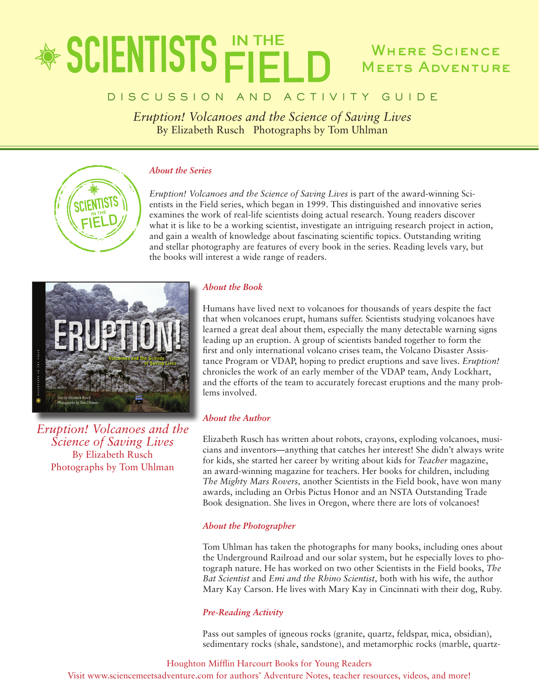## \* SCIENTISTS FIEL Where Science Meets Adventure

### D I S C U S S I O N A N D A C T I V I T Y G U I D E

*Eruption! Volcanoes and the Science of Saving Lives* By Elizabeth Rusch Photographs by Tom Uhlman

### *About the Series*

*Eruption! Volcanoes and the Science of Saving Lives* is part of the award-winning Scientists in the Field series, which began in 1999. This distinguished and innovative series examines the work of real-life scientists doing actual research. Young readers discover what it is like to be a working scientist, investigate an intriguing research project in action, and gain a wealth of knowledge about fascinating scientific topics. Outstanding writing and stellar photography are features of every book in the series. Reading levels vary, but the books will interest a wide range of readers.



*Eruption! Volcanoes and the Science of Saving Lives* By Elizabeth Rusch Photographs by Tom Uhlman

### *About the Book*

Humans have lived next to volcanoes for thousands of years despite the fact that when volcanoes erupt, humans suffer. Scientists studying volcanoes have learned a great deal about them, especially the many detectable warning signs leading up an eruption. A group of scientists banded together to form the first and only international volcano crises team, the Volcano Disaster Assistance Program or VDAP, hoping to predict eruptions and save lives. *Eruption!* chronicles the work of an early member of the VDAP team, Andy Lockhart, and the efforts of the team to accurately forecast eruptions and the many problems involved.

### *About the Author*

Elizabeth Rusch has written about robots, crayons, exploding volcanoes, musicians and inventors—anything that catches her interest! She didn't always write for kids, she started her career by writing about kids for *Teacher* magazine, an award-winning magazine for teachers. Her books for children, including *The Mighty Mars Rovers,* another Scientists in the Field book, have won many awards, including an Orbis Pictus Honor and an NSTA Outstanding Trade Book designation. She lives in Oregon, where there are lots of volcanoes!

### *About the Photographer*

Tom Uhlman has taken the photographs for many books, including ones about the Underground Railroad and our solar system, but he especially loves to photograph nature. He has worked on two other Scientists in the Field books, *The Bat Scientist* and *Emi and the Rhino Scientist,* both with his wife, the author Mary Kay Carson. He lives with Mary Kay in Cincinnati with their dog, Ruby.

### *Pre-Reading Activity*

Pass out samples of igneous rocks (granite, quartz, feldspar, mica, obsidian), sedimentary rocks (shale, sandstone), and metamorphic rocks (marble, quartz-

Houghton Mifflin Harcourt Books for Young Readers Visit www.sciencemeetsadventure.com for authors' Adventure Notes, teacher resources, videos, and more!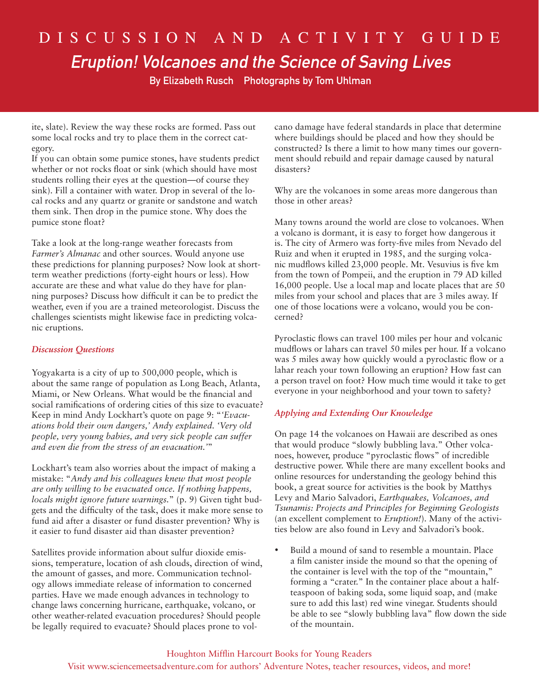## D i s c u s s i o n a n d a c t i v i t y G u i d e Eruption! Volcanoes and the Science of Saving Lives

By Elizabeth Rusch Photographs by Tom Uhlman

ite, slate). Review the way these rocks are formed. Pass out some local rocks and try to place them in the correct category.

If you can obtain some pumice stones, have students predict whether or not rocks float or sink (which should have most students rolling their eyes at the question—of course they sink). Fill a container with water. Drop in several of the local rocks and any quartz or granite or sandstone and watch them sink. Then drop in the pumice stone. Why does the pumice stone float?

Take a look at the long-range weather forecasts from *Farmer's Almanac* and other sources. Would anyone use these predictions for planning purposes? Now look at shortterm weather predictions (forty-eight hours or less). How accurate are these and what value do they have for planning purposes? Discuss how difficult it can be to predict the weather, even if you are a trained meteorologist. Discuss the challenges scientists might likewise face in predicting volcanic eruptions.

### *Discussion Questions*

Yogyakarta is a city of up to 500,000 people, which is about the same range of population as Long Beach, Atlanta, Miami, or New Orleans. What would be the financial and social ramifications of ordering cities of this size to evacuate? Keep in mind Andy Lockhart's quote on page 9: "*'Evacuations hold their own dangers,' Andy explained. 'Very old people, very young babies, and very sick people can suffer and even die from the stress of an evacuation.'*"

Lockhart's team also worries about the impact of making a mistake: "*Andy and his colleagues knew that most people are only willing to be evacuated once. If nothing happens, locals might ignore future warnings.*" (p. 9) Given tight budgets and the difficulty of the task, does it make more sense to fund aid after a disaster or fund disaster prevention? Why is it easier to fund disaster aid than disaster prevention?

Satellites provide information about sulfur dioxide emissions, temperature, location of ash clouds, direction of wind, the amount of gasses, and more. Communication technology allows immediate release of information to concerned parties. Have we made enough advances in technology to change laws concerning hurricane, earthquake, volcano, or other weather-related evacuation procedures? Should people be legally required to evacuate? Should places prone to volcano damage have federal standards in place that determine where buildings should be placed and how they should be constructed? Is there a limit to how many times our government should rebuild and repair damage caused by natural disasters?

Why are the volcanoes in some areas more dangerous than those in other areas?

Many towns around the world are close to volcanoes. When a volcano is dormant, it is easy to forget how dangerous it is. The city of Armero was forty-five miles from Nevado del Ruiz and when it erupted in 1985, and the surging volcanic mudflows killed 23,000 people. Mt. Vesuvius is five km from the town of Pompeii, and the eruption in 79 AD killed 16,000 people. Use a local map and locate places that are 50 miles from your school and places that are 3 miles away. If one of those locations were a volcano, would you be concerned?

Pyroclastic flows can travel 100 miles per hour and volcanic mudflows or lahars can travel 50 miles per hour. If a volcano was 5 miles away how quickly would a pyroclastic flow or a lahar reach your town following an eruption? How fast can a person travel on foot? How much time would it take to get everyone in your neighborhood and your town to safety?

### *Applying and Extending Our Knowledge*

On page 14 the volcanoes on Hawaii are described as ones that would produce "slowly bubbling lava." Other volcanoes, however, produce "pyroclastic flows" of incredible destructive power. While there are many excellent books and online resources for understanding the geology behind this book, a great source for activities is the book by Matthys Levy and Mario Salvadori, *Earthquakes, Volcanoes, and Tsunamis: Projects and Principles for Beginning Geologists* (an excellent complement to *Eruption!*). Many of the activities below are also found in Levy and Salvadori's book.

• Build a mound of sand to resemble a mountain. Place a film canister inside the mound so that the opening of the container is level with the top of the "mountain," forming a "crater." In the container place about a halfteaspoon of baking soda, some liquid soap, and (make sure to add this last) red wine vinegar. Students should be able to see "slowly bubbling lava" flow down the side of the mountain.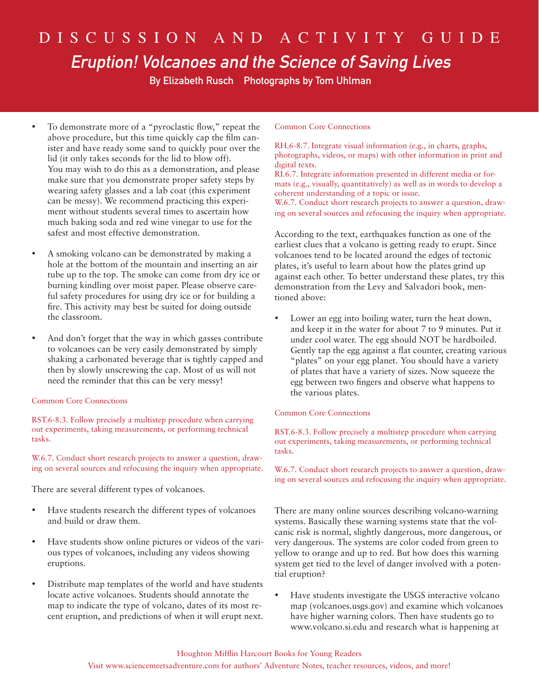## D i s c u s s i o n a n d a c t i v i t y G u i d e Eruption! Volcanoes and the Science of Saving Lives

By Elizabeth Rusch Photographs by Tom Uhlman

- To demonstrate more of a "pyroclastic flow," repeat the above procedure, but this time quickly cap the film canister and have ready some sand to quickly pour over the lid (it only takes seconds for the lid to blow off). You may wish to do this as a demonstration, and please make sure that you demonstrate proper safety steps by wearing safety glasses and a lab coat (this experiment can be messy). We recommend practicing this experiment without students several times to ascertain how much baking soda and red wine vinegar to use for the safest and most effective demonstration.
- A smoking volcano can be demonstrated by making a hole at the bottom of the mountain and inserting an air tube up to the top. The smoke can come from dry ice or burning kindling over moist paper. Please observe careful safety procedures for using dry ice or for building a fire. This activity may best be suited for doing outside the classroom.
- And don't forget that the way in which gasses contribute to volcanoes can be very easily demonstrated by simply shaking a carbonated beverage that is tightly capped and then by slowly unscrewing the cap. Most of us will not need the reminder that this can be very messy!

### Common Core Connections

RST.6-8.3. Follow precisely a multistep procedure when carrying out experiments, taking measurements, or performing technical tasks.

W.6.7. Conduct short research projects to answer a question, drawing on several sources and refocusing the inquiry when appropriate.

There are several different types of volcanoes.

- Have students research the different types of volcanoes and build or draw them.
- • Have students show online pictures or videos of the various types of volcanoes, including any videos showing eruptions.
- Distribute map templates of the world and have students locate active volcanoes. Students should annotate the map to indicate the type of volcano, dates of its most recent eruption, and predictions of when it will erupt next.

### Common Core Connections

RH.6-8.7. Integrate visual information (e.g., in charts, graphs, photographs, videos, or maps) with other information in print and digital texts.

RI.6.7. Integrate information presented in different media or formats (e.g., visually, quantitatively) as well as in words to develop a coherent understanding of a topic or issue.

W.6.7. Conduct short research projects to answer a question, drawing on several sources and refocusing the inquiry when appropriate.

According to the text, earthquakes function as one of the earliest clues that a volcano is getting ready to erupt. Since volcanoes tend to be located around the edges of tectonic plates, it's useful to learn about how the plates grind up against each other. To better understand these plates, try this demonstration from the Levy and Salvadori book, mentioned above:

Lower an egg into boiling water, turn the heat down, and keep it in the water for about 7 to 9 minutes. Put it under cool water. The egg should NOT be hardboiled. Gently tap the egg against a flat counter, creating various "plates" on your egg planet. You should have a variety of plates that have a variety of sizes. Now squeeze the egg between two fingers and observe what happens to the various plates.

### Common Core Connections

RST.6-8.3. Follow precisely a multistep procedure when carrying out experiments, taking measurements, or performing technical tasks.

W.6.7. Conduct short research projects to answer a question, drawing on several sources and refocusing the inquiry when appropriate.

There are many online sources describing volcano-warning systems. Basically these warning systems state that the volcanic risk is normal, slightly dangerous, more dangerous, or very dangerous. The systems are color coded from green to yellow to orange and up to red. But how does this warning system get tied to the level of danger involved with a potential eruption?

• Have students investigate the USGS interactive volcano map (volcanoes.usgs.gov) and examine which volcanoes have higher warning colors. Then have students go to www.volcano.si.edu and research what is happening at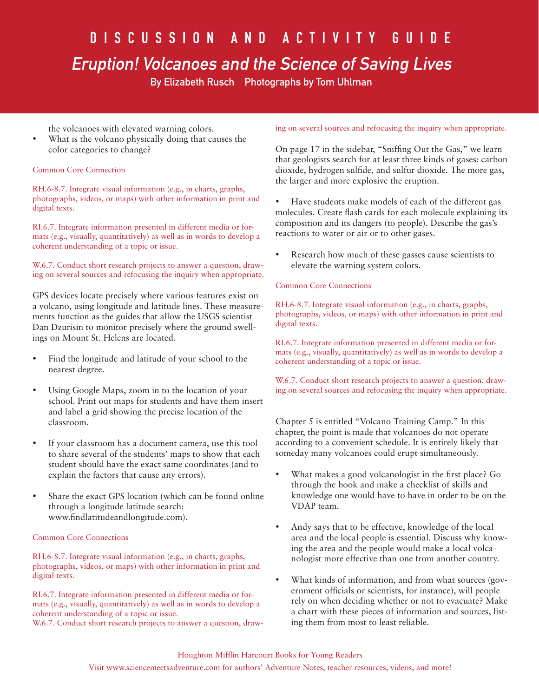# D I S C U S S I O N A N D A C T I V I T Y G U I D E

## Eruption! Volcanoes and the Science of Saving Lives

By Elizabeth Rusch Photographs by Tom Uhlman

the volcanoes with elevated warning colors.

• What is the volcano physically doing that causes the color categories to change?

### Common Core Connection

RH.6-8.7. Integrate visual information (e.g., in charts, graphs, photographs, videos, or maps) with other information in print and digital texts.

RI.6.7. Integrate information presented in different media or formats (e.g., visually, quantitatively) as well as in words to develop a coherent understanding of a topic or issue.

W.6.7. Conduct short research projects to answer a question, drawing on several sources and refocusing the inquiry when appropriate.

GPS devices locate precisely where various features exist on a volcano, using longitude and latitude lines. These measurements function as the guides that allow the USGS scientist Dan Dzurisin to monitor precisely where the ground swellings on Mount St. Helens are located.

- • Find the longitude and latitude of your school to the nearest degree.
- Using Google Maps, zoom in to the location of your school. Print out maps for students and have them insert and label a grid showing the precise location of the classroom.
- If your classroom has a document camera, use this tool to share several of the students' maps to show that each student should have the exact same coordinates (and to explain the factors that cause any errors).
- Share the exact GPS location (which can be found online through a longitude latitude search: www.findlatitudeandlongitude.com).

### Common Core Connections

RH.6-8.7. Integrate visual information (e.g., in charts, graphs, photographs, videos, or maps) with other information in print and digital texts.

RI.6.7. Integrate information presented in different media or formats (e.g., visually, quantitatively) as well as in words to develop a coherent understanding of a topic or issue.

W.6.7. Conduct short research projects to answer a question, draw-

### ing on several sources and refocusing the inquiry when appropriate.

On page 17 in the sidebar, "Sniffing Out the Gas," we learn that geologists search for at least three kinds of gases: carbon dioxide, hydrogen sulfide, and sulfur dioxide. The more gas, the larger and more explosive the eruption.

• Have students make models of each of the different gas molecules. Create flash cards for each molecule explaining its composition and its dangers (to people). Describe the gas's reactions to water or air or to other gases.

Research how much of these gasses cause scientists to elevate the warning system colors.

### Common Core Connections

RH.6-8.7. Integrate visual information (e.g., in charts, graphs, photographs, videos, or maps) with other information in print and digital texts.

RI.6.7. Integrate information presented in different media or formats (e.g., visually, quantitatively) as well as in words to develop a coherent understanding of a topic or issue.

W.6.7. Conduct short research projects to answer a question, drawing on several sources and refocusing the inquiry when appropriate.

Chapter 5 is entitled "Volcano Training Camp." In this chapter, the point is made that volcanoes do not operate according to a convenient schedule. It is entirely likely that someday many volcanoes could erupt simultaneously.

- What makes a good volcanologist in the first place? Go through the book and make a checklist of skills and knowledge one would have to have in order to be on the VDAP team.
- Andy says that to be effective, knowledge of the local area and the local people is essential. Discuss why knowing the area and the people would make a local volcanologist more effective than one from another country.
- What kinds of information, and from what sources (government officials or scientists, for instance), will people rely on when deciding whether or not to evacuate? Make a chart with these pieces of information and sources, listing them from most to least reliable.